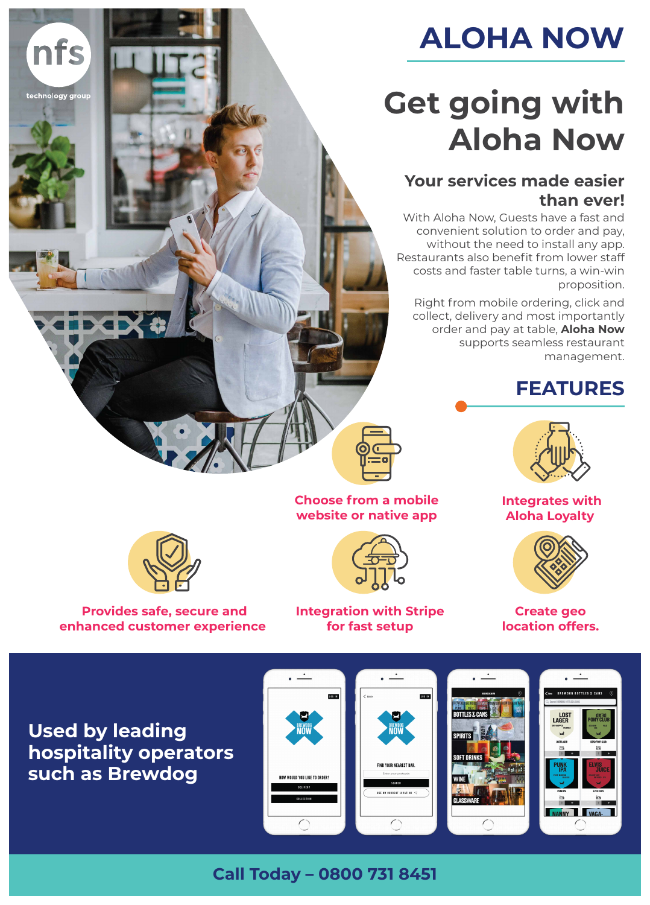

With Aloha Now, Guests have a fast and

technology group

nfs

convenient solution to order and pay, without the need to install any app. Restaurants also benefit from lower staff costs and faster table turns, a win-win proposition.

Right from mobile ordering, click and collect, delivery and most importantly order and pay at table, **Aloha Now** supports seamless restaurant management.

# **Get going with Aloha Now**

## **Your services made easier than ever!**











### **Integrates with Aloha Loyalty**





**Create geo location offers.**

![](_page_0_Picture_18.jpeg)

![](_page_0_Picture_19.jpeg)

![](_page_0_Picture_20.jpeg)

![](_page_0_Picture_21.jpeg)

### **Choose from a mobile website or native app**

**ALOHA NOW**

## **Used by leading hospitality operators such as Brewdog**

![](_page_0_Picture_15.jpeg)